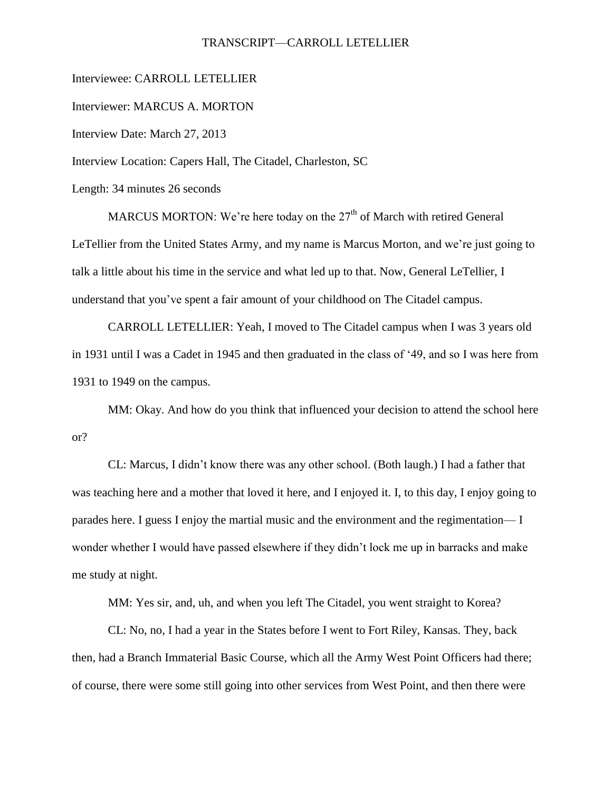## TRANSCRIPT—CARROLL LETELLIER

Interviewee: CARROLL LETELLIER

Interviewer: MARCUS A. MORTON

Interview Date: March 27, 2013

Interview Location: Capers Hall, The Citadel, Charleston, SC

Length: 34 minutes 26 seconds

MARCUS MORTON: We're here today on the  $27<sup>th</sup>$  of March with retired General LeTellier from the United States Army, and my name is Marcus Morton, and we're just going to talk a little about his time in the service and what led up to that. Now, General LeTellier, I understand that you've spent a fair amount of your childhood on The Citadel campus.

CARROLL LETELLIER: Yeah, I moved to The Citadel campus when I was 3 years old in 1931 until I was a Cadet in 1945 and then graduated in the class of '49, and so I was here from 1931 to 1949 on the campus.

MM: Okay. And how do you think that influenced your decision to attend the school here or?

CL: Marcus, I didn't know there was any other school. (Both laugh.) I had a father that was teaching here and a mother that loved it here, and I enjoyed it. I, to this day, I enjoy going to parades here. I guess I enjoy the martial music and the environment and the regimentation— I wonder whether I would have passed elsewhere if they didn't lock me up in barracks and make me study at night.

MM: Yes sir, and, uh, and when you left The Citadel, you went straight to Korea?

CL: No, no, I had a year in the States before I went to Fort Riley, Kansas. They, back then, had a Branch Immaterial Basic Course, which all the Army West Point Officers had there; of course, there were some still going into other services from West Point, and then there were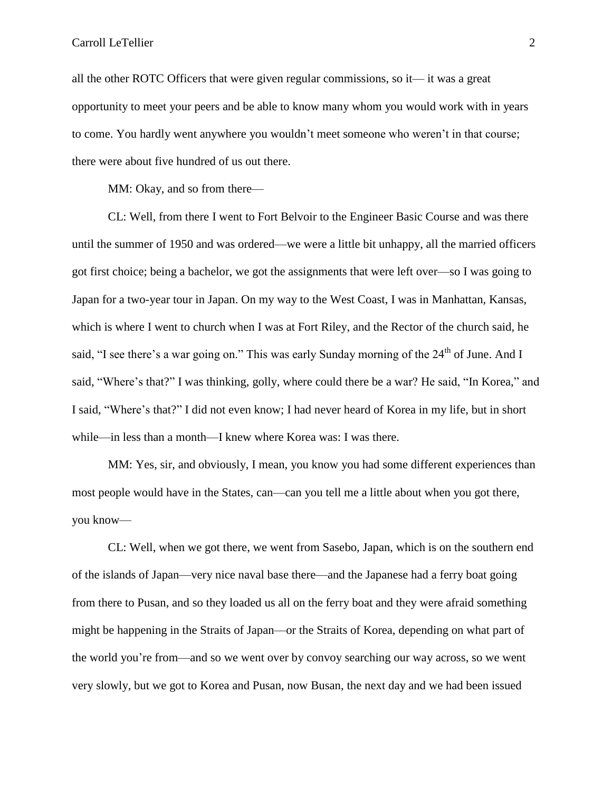all the other ROTC Officers that were given regular commissions, so it— it was a great opportunity to meet your peers and be able to know many whom you would work with in years to come. You hardly went anywhere you wouldn't meet someone who weren't in that course; there were about five hundred of us out there.

MM: Okay, and so from there—

CL: Well, from there I went to Fort Belvoir to the Engineer Basic Course and was there until the summer of 1950 and was ordered—we were a little bit unhappy, all the married officers got first choice; being a bachelor, we got the assignments that were left over—so I was going to Japan for a two-year tour in Japan. On my way to the West Coast, I was in Manhattan, Kansas, which is where I went to church when I was at Fort Riley, and the Rector of the church said, he said, "I see there's a war going on." This was early Sunday morning of the 24<sup>th</sup> of June. And I said, "Where's that?" I was thinking, golly, where could there be a war? He said, "In Korea," and I said, "Where's that?" I did not even know; I had never heard of Korea in my life, but in short while—in less than a month—I knew where Korea was: I was there.

MM: Yes, sir, and obviously, I mean, you know you had some different experiences than most people would have in the States, can—can you tell me a little about when you got there, you know—

CL: Well, when we got there, we went from Sasebo, Japan, which is on the southern end of the islands of Japan—very nice naval base there—and the Japanese had a ferry boat going from there to Pusan, and so they loaded us all on the ferry boat and they were afraid something might be happening in the Straits of Japan—or the Straits of Korea, depending on what part of the world you're from—and so we went over by convoy searching our way across, so we went very slowly, but we got to Korea and Pusan, now Busan, the next day and we had been issued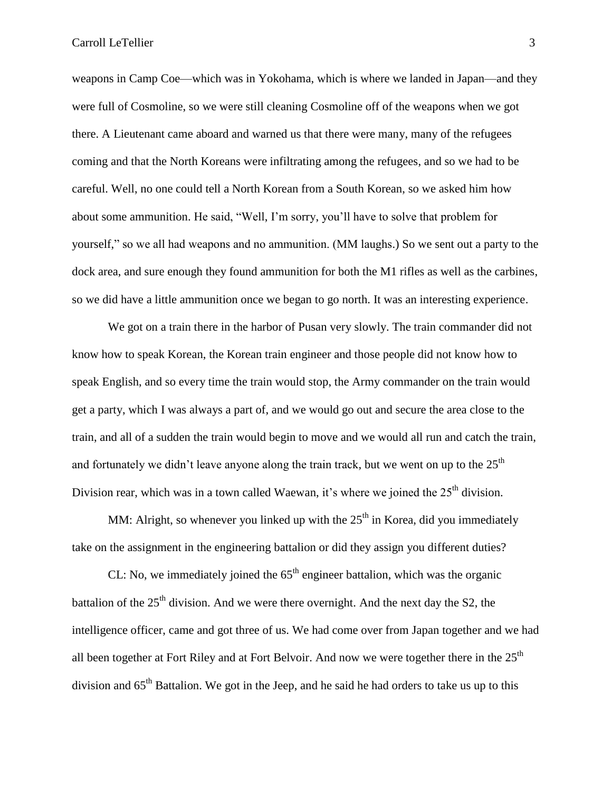weapons in Camp Coe—which was in Yokohama, which is where we landed in Japan—and they were full of Cosmoline, so we were still cleaning Cosmoline off of the weapons when we got there. A Lieutenant came aboard and warned us that there were many, many of the refugees coming and that the North Koreans were infiltrating among the refugees, and so we had to be careful. Well, no one could tell a North Korean from a South Korean, so we asked him how about some ammunition. He said, "Well, I'm sorry, you'll have to solve that problem for yourself," so we all had weapons and no ammunition. (MM laughs.) So we sent out a party to the dock area, and sure enough they found ammunition for both the M1 rifles as well as the carbines, so we did have a little ammunition once we began to go north. It was an interesting experience.

We got on a train there in the harbor of Pusan very slowly. The train commander did not know how to speak Korean, the Korean train engineer and those people did not know how to speak English, and so every time the train would stop, the Army commander on the train would get a party, which I was always a part of, and we would go out and secure the area close to the train, and all of a sudden the train would begin to move and we would all run and catch the train, and fortunately we didn't leave anyone along the train track, but we went on up to the  $25<sup>th</sup>$ Division rear, which was in a town called Waewan, it's where we joined the  $25<sup>th</sup>$  division.

MM: Alright, so whenever you linked up with the  $25<sup>th</sup>$  in Korea, did you immediately take on the assignment in the engineering battalion or did they assign you different duties?

CL: No, we immediately joined the  $65<sup>th</sup>$  engineer battalion, which was the organic battalion of the  $25<sup>th</sup>$  division. And we were there overnight. And the next day the S2, the intelligence officer, came and got three of us. We had come over from Japan together and we had all been together at Fort Riley and at Fort Belvoir. And now we were together there in the  $25<sup>th</sup>$ division and  $65<sup>th</sup>$  Battalion. We got in the Jeep, and he said he had orders to take us up to this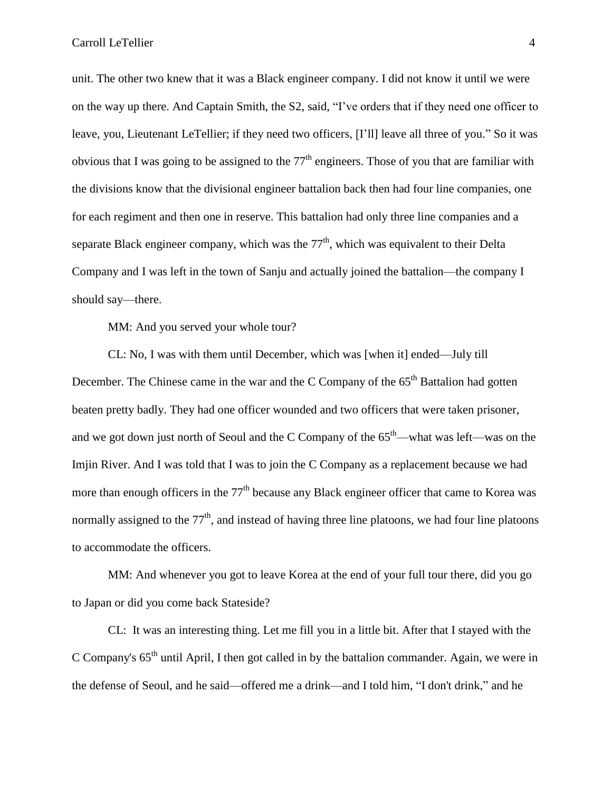unit. The other two knew that it was a Black engineer company. I did not know it until we were on the way up there. And Captain Smith, the S2, said, "I've orders that if they need one officer to leave, you, Lieutenant LeTellier; if they need two officers, [I'll] leave all three of you." So it was obvious that I was going to be assigned to the  $77<sup>th</sup>$  engineers. Those of you that are familiar with the divisions know that the divisional engineer battalion back then had four line companies, one for each regiment and then one in reserve. This battalion had only three line companies and a separate Black engineer company, which was the  $77<sup>th</sup>$ , which was equivalent to their Delta Company and I was left in the town of Sanju and actually joined the battalion—the company I should say—there.

MM: And you served your whole tour?

CL: No, I was with them until December, which was [when it] ended—July till December. The Chinese came in the war and the C Company of the  $65<sup>th</sup>$  Battalion had gotten beaten pretty badly. They had one officer wounded and two officers that were taken prisoner, and we got down just north of Seoul and the C Company of the  $65<sup>th</sup>$ —what was left—was on the Imjin River. And I was told that I was to join the C Company as a replacement because we had more than enough officers in the  $77<sup>th</sup>$  because any Black engineer officer that came to Korea was normally assigned to the  $77<sup>th</sup>$ , and instead of having three line platoons, we had four line platoons to accommodate the officers.

MM: And whenever you got to leave Korea at the end of your full tour there, did you go to Japan or did you come back Stateside?

CL: It was an interesting thing. Let me fill you in a little bit. After that I stayed with the C Company's  $65<sup>th</sup>$  until April, I then got called in by the battalion commander. Again, we were in the defense of Seoul, and he said—offered me a drink—and I told him, "I don't drink," and he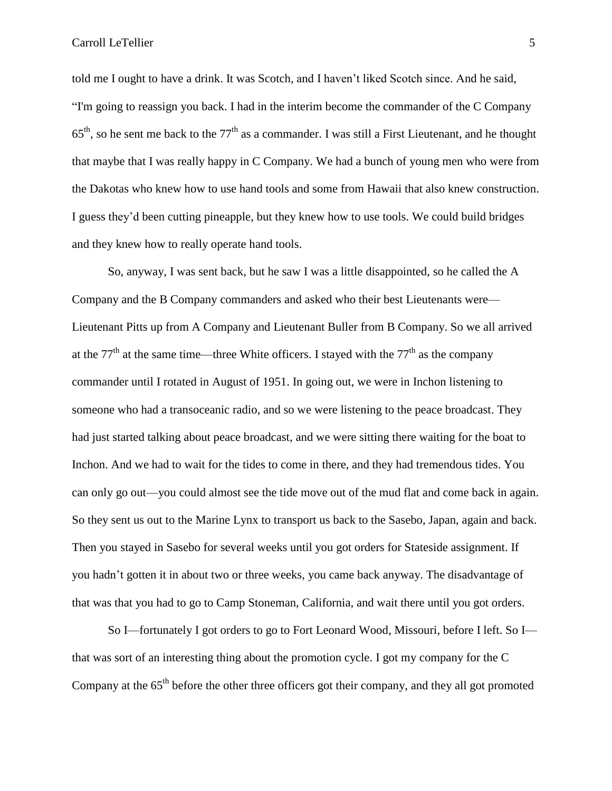told me I ought to have a drink. It was Scotch, and I haven't liked Scotch since. And he said, "I'm going to reassign you back. I had in the interim become the commander of the C Company  $65<sup>th</sup>$ , so he sent me back to the  $77<sup>th</sup>$  as a commander. I was still a First Lieutenant, and he thought that maybe that I was really happy in C Company. We had a bunch of young men who were from the Dakotas who knew how to use hand tools and some from Hawaii that also knew construction. I guess they'd been cutting pineapple, but they knew how to use tools. We could build bridges and they knew how to really operate hand tools.

So, anyway, I was sent back, but he saw I was a little disappointed, so he called the A Company and the B Company commanders and asked who their best Lieutenants were— Lieutenant Pitts up from A Company and Lieutenant Buller from B Company. So we all arrived at the 77<sup>th</sup> at the same time—three White officers. I stayed with the 77<sup>th</sup> as the company commander until I rotated in August of 1951. In going out, we were in Inchon listening to someone who had a transoceanic radio, and so we were listening to the peace broadcast. They had just started talking about peace broadcast, and we were sitting there waiting for the boat to Inchon. And we had to wait for the tides to come in there, and they had tremendous tides. You can only go out—you could almost see the tide move out of the mud flat and come back in again. So they sent us out to the Marine Lynx to transport us back to the Sasebo, Japan, again and back. Then you stayed in Sasebo for several weeks until you got orders for Stateside assignment. If you hadn't gotten it in about two or three weeks, you came back anyway. The disadvantage of that was that you had to go to Camp Stoneman, California, and wait there until you got orders.

So I—fortunately I got orders to go to Fort Leonard Wood, Missouri, before I left. So I that was sort of an interesting thing about the promotion cycle. I got my company for the C Company at the 65<sup>th</sup> before the other three officers got their company, and they all got promoted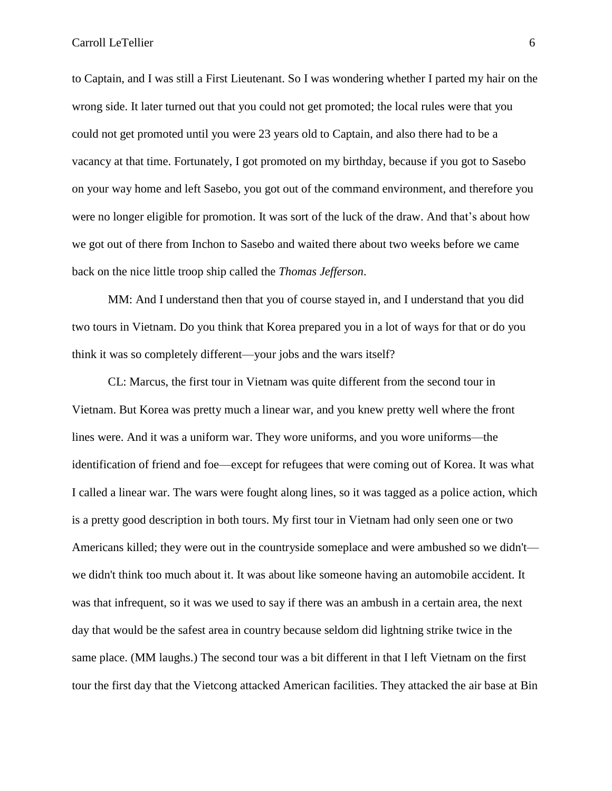to Captain, and I was still a First Lieutenant. So I was wondering whether I parted my hair on the wrong side. It later turned out that you could not get promoted; the local rules were that you could not get promoted until you were 23 years old to Captain, and also there had to be a vacancy at that time. Fortunately, I got promoted on my birthday, because if you got to Sasebo on your way home and left Sasebo, you got out of the command environment, and therefore you were no longer eligible for promotion. It was sort of the luck of the draw. And that's about how we got out of there from Inchon to Sasebo and waited there about two weeks before we came back on the nice little troop ship called the *Thomas Jefferson*.

MM: And I understand then that you of course stayed in, and I understand that you did two tours in Vietnam. Do you think that Korea prepared you in a lot of ways for that or do you think it was so completely different—your jobs and the wars itself?

CL: Marcus, the first tour in Vietnam was quite different from the second tour in Vietnam. But Korea was pretty much a linear war, and you knew pretty well where the front lines were. And it was a uniform war. They wore uniforms, and you wore uniforms—the identification of friend and foe—except for refugees that were coming out of Korea. It was what I called a linear war. The wars were fought along lines, so it was tagged as a police action, which is a pretty good description in both tours. My first tour in Vietnam had only seen one or two Americans killed; they were out in the countryside someplace and were ambushed so we didn't we didn't think too much about it. It was about like someone having an automobile accident. It was that infrequent, so it was we used to say if there was an ambush in a certain area, the next day that would be the safest area in country because seldom did lightning strike twice in the same place. (MM laughs.) The second tour was a bit different in that I left Vietnam on the first tour the first day that the Vietcong attacked American facilities. They attacked the air base at Bin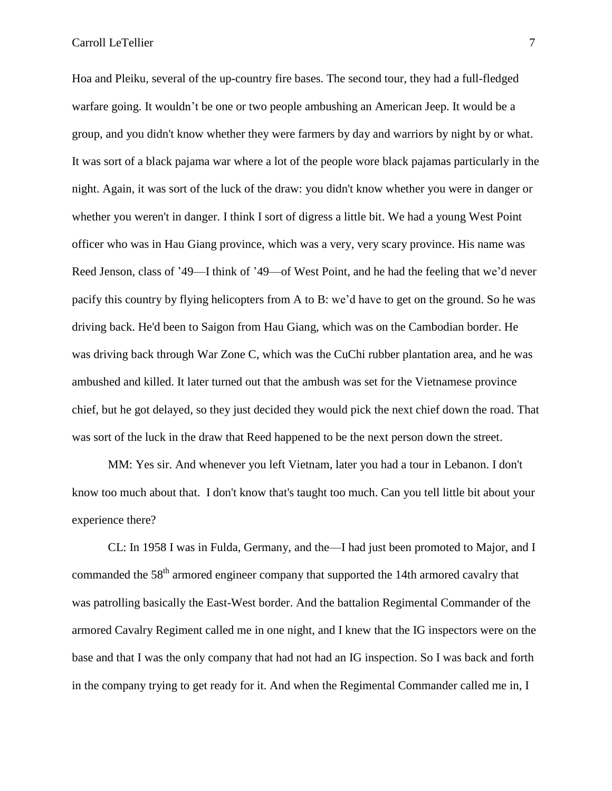Hoa and Pleiku, several of the up-country fire bases. The second tour, they had a full-fledged warfare going. It wouldn't be one or two people ambushing an American Jeep. It would be a group, and you didn't know whether they were farmers by day and warriors by night by or what. It was sort of a black pajama war where a lot of the people wore black pajamas particularly in the night. Again, it was sort of the luck of the draw: you didn't know whether you were in danger or whether you weren't in danger. I think I sort of digress a little bit. We had a young West Point officer who was in Hau Giang province, which was a very, very scary province. His name was Reed Jenson, class of '49—I think of '49—of West Point, and he had the feeling that we'd never pacify this country by flying helicopters from A to B: we'd have to get on the ground. So he was driving back. He'd been to Saigon from Hau Giang, which was on the Cambodian border. He was driving back through War Zone C, which was the CuChi rubber plantation area, and he was ambushed and killed. It later turned out that the ambush was set for the Vietnamese province chief, but he got delayed, so they just decided they would pick the next chief down the road. That was sort of the luck in the draw that Reed happened to be the next person down the street.

MM: Yes sir. And whenever you left Vietnam, later you had a tour in Lebanon. I don't know too much about that. I don't know that's taught too much. Can you tell little bit about your experience there?

CL: In 1958 I was in Fulda, Germany, and the—I had just been promoted to Major, and I commanded the 58<sup>th</sup> armored engineer company that supported the 14th armored cavalry that was patrolling basically the East-West border. And the battalion Regimental Commander of the armored Cavalry Regiment called me in one night, and I knew that the IG inspectors were on the base and that I was the only company that had not had an IG inspection. So I was back and forth in the company trying to get ready for it. And when the Regimental Commander called me in, I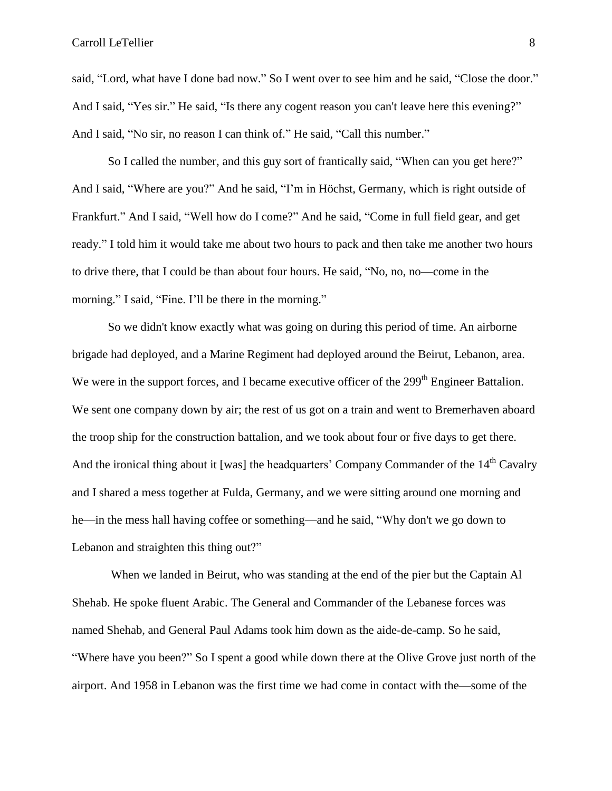said, "Lord, what have I done bad now." So I went over to see him and he said, "Close the door." And I said, "Yes sir." He said, "Is there any cogent reason you can't leave here this evening?" And I said, "No sir, no reason I can think of." He said, "Call this number."

So I called the number, and this guy sort of frantically said, "When can you get here?" And I said, "Where are you?" And he said, "I'm in Höchst, Germany, which is right outside of Frankfurt." And I said, "Well how do I come?" And he said, "Come in full field gear, and get ready." I told him it would take me about two hours to pack and then take me another two hours to drive there, that I could be than about four hours. He said, "No, no, no—come in the morning." I said, "Fine. I'll be there in the morning."

So we didn't know exactly what was going on during this period of time. An airborne brigade had deployed, and a Marine Regiment had deployed around the Beirut, Lebanon, area. We were in the support forces, and I became executive officer of the 299<sup>th</sup> Engineer Battalion. We sent one company down by air; the rest of us got on a train and went to Bremerhaven aboard the troop ship for the construction battalion, and we took about four or five days to get there. And the ironical thing about it [was] the headquarters' Company Commander of the  $14<sup>th</sup>$  Cavalry and I shared a mess together at Fulda, Germany, and we were sitting around one morning and he—in the mess hall having coffee or something—and he said, "Why don't we go down to Lebanon and straighten this thing out?"

When we landed in Beirut, who was standing at the end of the pier but the Captain Al Shehab. He spoke fluent Arabic. The General and Commander of the Lebanese forces was named Shehab, and General Paul Adams took him down as the aide-de-camp. So he said, "Where have you been?" So I spent a good while down there at the Olive Grove just north of the airport. And 1958 in Lebanon was the first time we had come in contact with the—some of the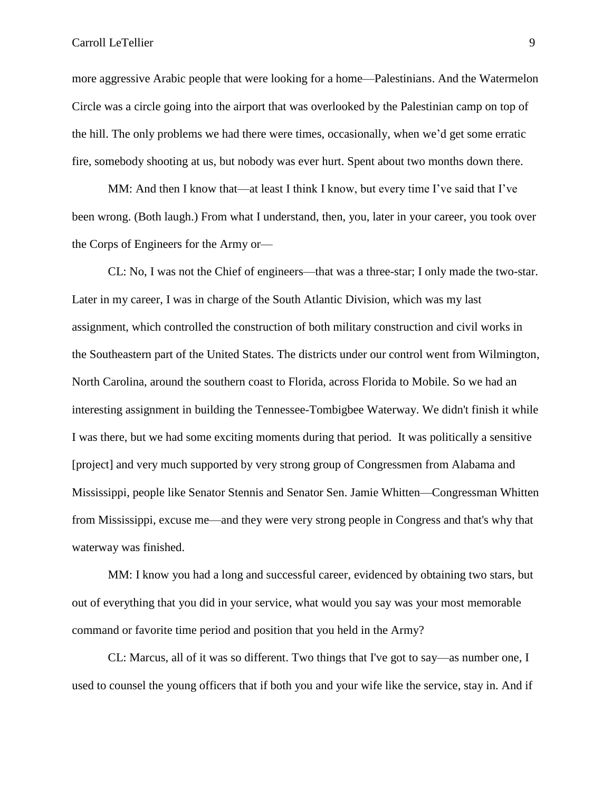more aggressive Arabic people that were looking for a home—Palestinians. And the Watermelon Circle was a circle going into the airport that was overlooked by the Palestinian camp on top of the hill. The only problems we had there were times, occasionally, when we'd get some erratic fire, somebody shooting at us, but nobody was ever hurt. Spent about two months down there.

MM: And then I know that—at least I think I know, but every time I've said that I've been wrong. (Both laugh.) From what I understand, then, you, later in your career, you took over the Corps of Engineers for the Army or—

CL: No, I was not the Chief of engineers—that was a three-star; I only made the two-star. Later in my career, I was in charge of the South Atlantic Division, which was my last assignment, which controlled the construction of both military construction and civil works in the Southeastern part of the United States. The districts under our control went from Wilmington, North Carolina, around the southern coast to Florida, across Florida to Mobile. So we had an interesting assignment in building the Tennessee-Tombigbee Waterway. We didn't finish it while I was there, but we had some exciting moments during that period. It was politically a sensitive [project] and very much supported by very strong group of Congressmen from Alabama and Mississippi, people like Senator Stennis and Senator Sen. Jamie Whitten—Congressman Whitten from Mississippi, excuse me—and they were very strong people in Congress and that's why that waterway was finished.

MM: I know you had a long and successful career, evidenced by obtaining two stars, but out of everything that you did in your service, what would you say was your most memorable command or favorite time period and position that you held in the Army?

CL: Marcus, all of it was so different. Two things that I've got to say—as number one, I used to counsel the young officers that if both you and your wife like the service, stay in. And if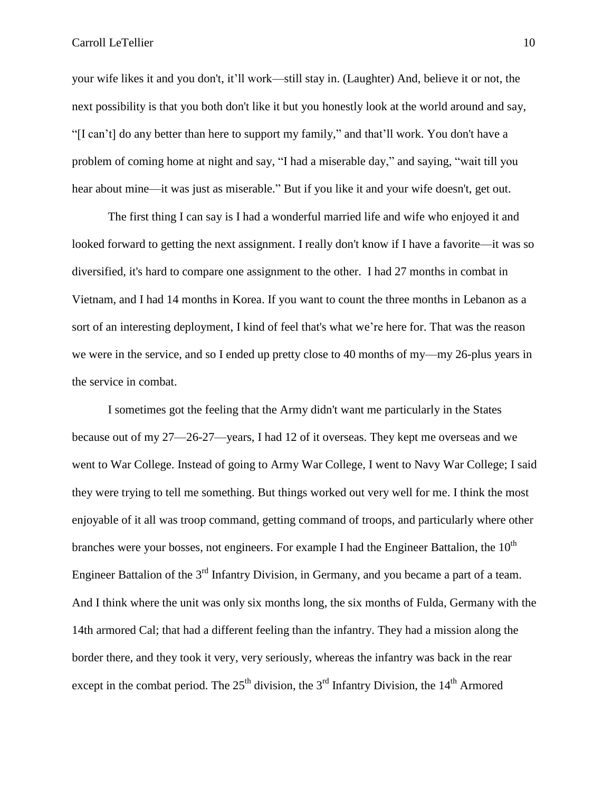your wife likes it and you don't, it'll work—still stay in. (Laughter) And, believe it or not, the next possibility is that you both don't like it but you honestly look at the world around and say, "[I can't] do any better than here to support my family," and that'll work. You don't have a problem of coming home at night and say, "I had a miserable day," and saying, "wait till you hear about mine—it was just as miserable." But if you like it and your wife doesn't, get out.

The first thing I can say is I had a wonderful married life and wife who enjoyed it and looked forward to getting the next assignment. I really don't know if I have a favorite—it was so diversified, it's hard to compare one assignment to the other. I had 27 months in combat in Vietnam, and I had 14 months in Korea. If you want to count the three months in Lebanon as a sort of an interesting deployment, I kind of feel that's what we're here for. That was the reason we were in the service, and so I ended up pretty close to 40 months of my—my 26-plus years in the service in combat.

I sometimes got the feeling that the Army didn't want me particularly in the States because out of my 27—26-27—years, I had 12 of it overseas. They kept me overseas and we went to War College. Instead of going to Army War College, I went to Navy War College; I said they were trying to tell me something. But things worked out very well for me. I think the most enjoyable of it all was troop command, getting command of troops, and particularly where other branches were your bosses, not engineers. For example I had the Engineer Battalion, the  $10<sup>th</sup>$ Engineer Battalion of the  $3<sup>rd</sup>$  Infantry Division, in Germany, and you became a part of a team. And I think where the unit was only six months long, the six months of Fulda, Germany with the 14th armored Cal; that had a different feeling than the infantry. They had a mission along the border there, and they took it very, very seriously, whereas the infantry was back in the rear except in the combat period. The  $25<sup>th</sup>$  division, the  $3<sup>rd</sup>$  Infantry Division, the  $14<sup>th</sup>$  Armored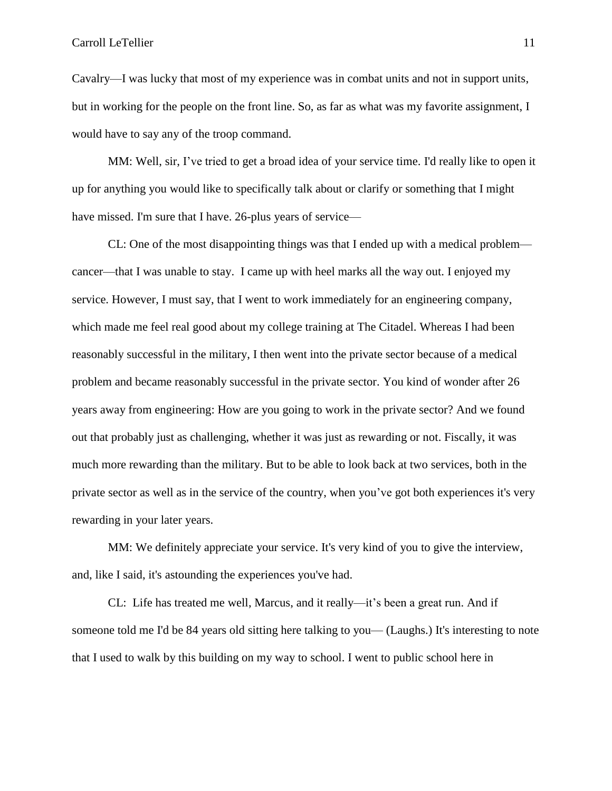Cavalry—I was lucky that most of my experience was in combat units and not in support units, but in working for the people on the front line. So, as far as what was my favorite assignment, I would have to say any of the troop command.

MM: Well, sir, I've tried to get a broad idea of your service time. I'd really like to open it up for anything you would like to specifically talk about or clarify or something that I might have missed. I'm sure that I have. 26-plus years of service—

CL: One of the most disappointing things was that I ended up with a medical problem cancer—that I was unable to stay. I came up with heel marks all the way out. I enjoyed my service. However, I must say, that I went to work immediately for an engineering company, which made me feel real good about my college training at The Citadel. Whereas I had been reasonably successful in the military, I then went into the private sector because of a medical problem and became reasonably successful in the private sector. You kind of wonder after 26 years away from engineering: How are you going to work in the private sector? And we found out that probably just as challenging, whether it was just as rewarding or not. Fiscally, it was much more rewarding than the military. But to be able to look back at two services, both in the private sector as well as in the service of the country, when you've got both experiences it's very rewarding in your later years.

MM: We definitely appreciate your service. It's very kind of you to give the interview, and, like I said, it's astounding the experiences you've had.

CL: Life has treated me well, Marcus, and it really—it's been a great run. And if someone told me I'd be 84 years old sitting here talking to you— (Laughs.) It's interesting to note that I used to walk by this building on my way to school. I went to public school here in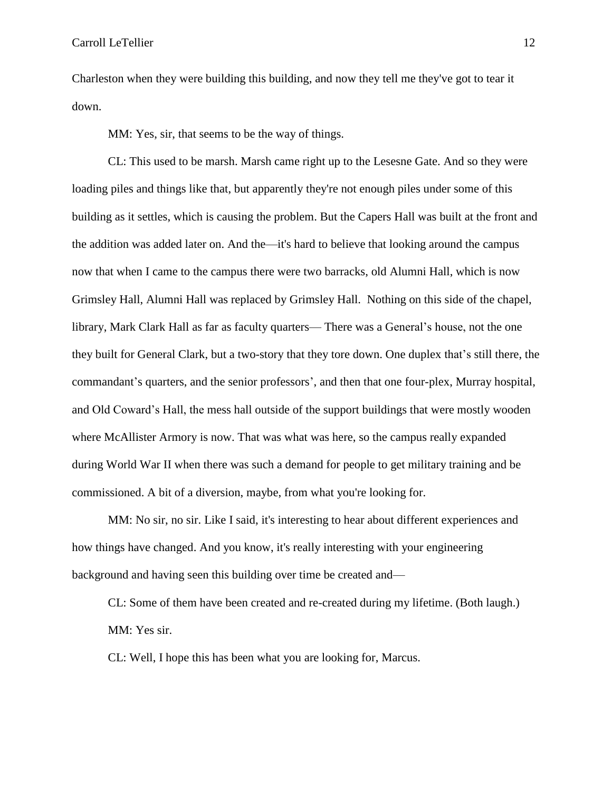Charleston when they were building this building, and now they tell me they've got to tear it down.

MM: Yes, sir, that seems to be the way of things.

CL: This used to be marsh. Marsh came right up to the Lesesne Gate. And so they were loading piles and things like that, but apparently they're not enough piles under some of this building as it settles, which is causing the problem. But the Capers Hall was built at the front and the addition was added later on. And the—it's hard to believe that looking around the campus now that when I came to the campus there were two barracks, old Alumni Hall, which is now Grimsley Hall, Alumni Hall was replaced by Grimsley Hall. Nothing on this side of the chapel, library, Mark Clark Hall as far as faculty quarters— There was a General's house, not the one they built for General Clark, but a two-story that they tore down. One duplex that's still there, the commandant's quarters, and the senior professors', and then that one four-plex, Murray hospital, and Old Coward's Hall, the mess hall outside of the support buildings that were mostly wooden where McAllister Armory is now. That was what was here, so the campus really expanded during World War II when there was such a demand for people to get military training and be commissioned. A bit of a diversion, maybe, from what you're looking for.

MM: No sir, no sir. Like I said, it's interesting to hear about different experiences and how things have changed. And you know, it's really interesting with your engineering background and having seen this building over time be created and—

CL: Some of them have been created and re-created during my lifetime. (Both laugh.) MM: Yes sir.

CL: Well, I hope this has been what you are looking for, Marcus.